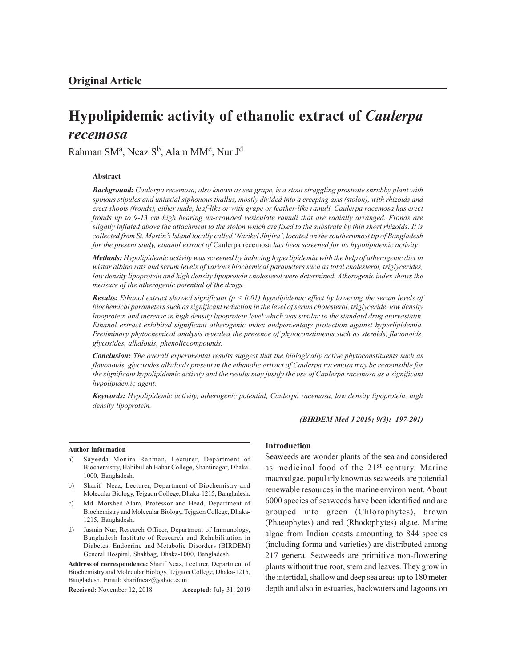# **Hypolipidemic activity of ethanolic extract of** *Caulerpa recemosa*

Rahman SMª, Neaz S<sup>b</sup>, Alam MM<sup>c</sup>, Nur J<sup>d</sup>

#### **Abstract**

*Background: Caulerpa recemosa, also known as sea grape, is a stout straggling prostrate shrubby plant with spinous stipules and uniaxial siphonous thallus, mostly divided into a creeping axis (stolon), with rhizoids and erect shoots (fronds), either nude, leaf-like or with grape or feather-like ramuli. Caulerpa racemosa has erect fronds up to 9-13 cm high bearing un-crowded vesiculate ramuli that are radially arranged. Fronds are slightly inflated above the attachment to the stolon which are fixed to the substrate by thin short rhizoids. It is collected from St. Martin's Island locally called 'Narikel Jinjira', located on the southernmost tip of Bangladesh for the present study, ethanol extract of* Caulerpa recemosa *has been screened for its hypolipidemic activity.*

*Methods: Hypolipidemic activity was screened by inducing hyperlipidemia with the help of atherogenic diet in wistar albino rats and serum levels of various biochemical parameters such as total cholesterol, triglycerides, low density lipoprotein and high density lipoprotein cholesterol were determined. Atherogenic index shows the measure of the atherogenic potential of the drugs.*

*Results: Ethanol extract showed significant (p < 0.01) hypolipidemic effect by lowering the serum levels of biochemical parameters such as significant reduction in the level of serum cholesterol, triglyceride, low density lipoprotein and increase in high density lipoprotein level which was similar to the standard drug atorvastatin. Ethanol extract exhibited significant atherogenic index andpercentage protection against hyperlipidemia. Preliminary phytochemical analysis revealed the presence of phytoconstituents such as steroids, flavonoids, glycosides, alkaloids, phenoliccompounds.*

*Conclusion: The overall experimental results suggest that the biologically active phytoconstituents such as flavonoids, glycosides alkaloids present in the ethanolic extract of Caulerpa racemosa may be responsible for the significant hypolipidemic activity and the results may justify the use of Caulerpa racemosa as a significant hypolipidemic agent.*

*Keywords: Hypolipidemic activity, atherogenic potential, Caulerpa racemosa, low density lipoprotein, high density lipoprotein.*

*(BIRDEM Med J 2019; 9(3): 197-201)*

#### **Author information**

- a) Sayeeda Monira Rahman, Lecturer, Department of Biochemistry, Habibullah Bahar College, Shantinagar, Dhaka-1000, Bangladesh.
- b) Sharif Neaz, Lecturer, Department of Biochemistry and Molecular Biology, Tejgaon College, Dhaka-1215, Bangladesh.
- c) Md. Morshed Alam, Professor and Head, Department of Biochemistry and Molecular Biology, Tejgaon College, Dhaka-1215, Bangladesh.
- d) Jasmin Nur, Research Officer, Department of Immunology, Bangladesh Institute of Research and Rehabilitation in Diabetes, Endocrine and Metabolic Disorders (BIRDEM) General Hospital, Shahbag, Dhaka-1000, Bangladesh.

**Address of correspondence:** Sharif Neaz, Lecturer, Department of Biochemistry and Molecular Biology, Tejgaon College, Dhaka-1215, Bangladesh. Email: sharifneaz@yahoo.com

**Received:** November 12, 2018 **Accepted:** July 31, 2019

#### **Introduction**

Seaweeds are wonder plants of the sea and considered as medicinal food of the 21<sup>st</sup> century. Marine macroalgae, popularly known as seaweeds are potential renewable resources in the marine environment. About 6000 species of seaweeds have been identified and are grouped into green (Chlorophytes), brown (Phaeophytes) and red (Rhodophytes) algae. Marine algae from Indian coasts amounting to 844 species (including forma and varieties) are distributed among 217 genera. Seaweeds are primitive non-flowering plants without true root, stem and leaves. They grow in the intertidal, shallow and deep sea areas up to 180 meter depth and also in estuaries, backwaters and lagoons on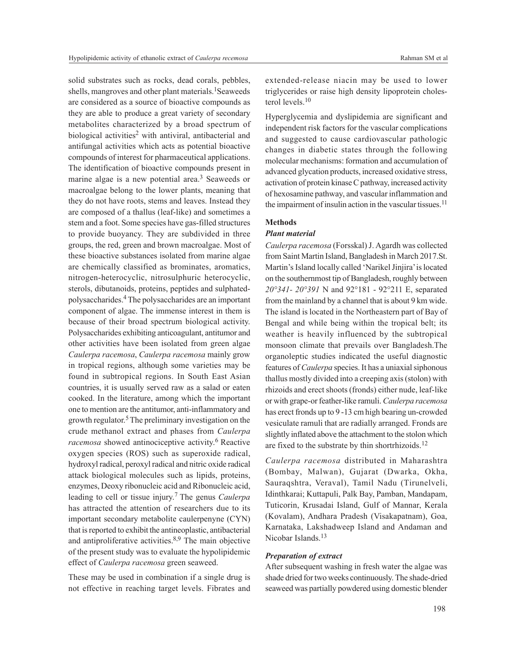solid substrates such as rocks, dead corals, pebbles, shells, mangroves and other plant materials.<sup>1</sup>Seaweeds are considered as a source of bioactive compounds as they are able to produce a great variety of secondary metabolites characterized by a broad spectrum of biological activities<sup>2</sup> with antiviral, antibacterial and antifungal activities which acts as potential bioactive compounds of interest for pharmaceutical applications. The identification of bioactive compounds present in marine algae is a new potential area.<sup>3</sup> Seaweeds or macroalgae belong to the lower plants, meaning that they do not have roots, stems and leaves. Instead they are composed of a thallus (leaf-like) and sometimes a stem and a foot. Some species have gas-filled structures to provide buoyancy. They are subdivided in three groups, the red, green and brown macroalgae. Most of these bioactive substances isolated from marine algae are chemically classified as brominates, aromatics, nitrogen-heterocyclic, nitrosulphuric heterocyclic, sterols, dibutanoids, proteins, peptides and sulphatedpolysaccharides.4 The polysaccharides are an important component of algae. The immense interest in them is because of their broad spectrum biological activity. Polysaccharides exhibiting anticoagulant, antitumor and other activities have been isolated from green algae *Caulerpa racemosa*, *Caulerpa racemosa* mainly grow in tropical regions, although some varieties may be found in subtropical regions. In South East Asian countries, it is usually served raw as a salad or eaten cooked. In the literature, among which the important one to mention are the antitumor, anti-inflammatory and growth regulator. <sup>5</sup>The preliminary investigation on the crude methanol extract and phases from *Caulerpa* racemosa showed antinociceptive activity.<sup>6</sup> Reactive oxygen species (ROS) such as superoxide radical, hydroxyl radical, peroxyl radical and nitric oxide radical attack biological molecules such as lipids, proteins, enzymes, Deoxy ribonucleic acid and Ribonucleic acid, leading to cell or tissue injury. <sup>7</sup>The genus *Caulerpa* has attracted the attention of researchers due to its important secondary metabolite caulerpenyne (CYN) that is reported to exhibit the antineoplastic, antibacterial and antiproliferative activities. $8,9$  The main objective of the present study was to evaluate the hypolipidemic effect of *Caulerpa racemosa* green seaweed.

These may be used in combination if a single drug is not effective in reaching target levels. Fibrates and extended-release niacin may be used to lower triglycerides or raise high density lipoprotein cholesterol levels.<sup>10</sup>

Hyperglycemia and dyslipidemia are significant and independent risk factors for the vascular complications and suggested to cause cardiovascular pathologic changes in diabetic states through the following molecular mechanisms: formation and accumulation of advanced glycation products, increased oxidative stress, activation of protein kinase C pathway, increased activity of hexosamine pathway, and vascular inflammation and the impairment of insulin action in the vascular tissues.<sup>11</sup>

## **Methods**

### *Plant material*

*Caulerpa racemosa* (Forsskal) J. Agardh was collected from Saint Martin Island, Bangladesh in March 2017.St. Martin's Island locally called 'Narikel Jinjira' is located on the southernmost tip of Bangladesh, roughly between *20°341- 20°391* N and 92°181 - 92°211 E, separated from the mainland by a channel that is about 9 km wide. The island is located in the Northeastern part of Bay of Bengal and while being within the tropical belt; its weather is heavily influenced by the subtropical monsoon climate that prevails over Bangladesh.The organoleptic studies indicated the useful diagnostic features of *Caulerpa* species. It has a uniaxial siphonous thallus mostly divided into a creeping axis (stolon) with rhizoids and erect shoots (fronds) either nude, leaf-like or with grape-or feather-like ramuli. *Caulerpa racemosa* has erect fronds up to 9 -13 cm high bearing un-crowded vesiculate ramuli that are radially arranged. Fronds are slightly inflated above the attachment to the stolon which are fixed to the substrate by thin shortrhizoids.<sup>12</sup>

*Caulerpa racemosa* distributed in Maharashtra (Bombay, Malwan), Gujarat (Dwarka, Okha, Sauraqshtra, Veraval), Tamil Nadu (Tirunelveli, Idinthkarai; Kuttapuli, Palk Bay, Pamban, Mandapam, Tuticorin, Krusadai Island, Gulf of Mannar, Kerala (Kovalam), Andhara Pradesh (Visakapatnam), Goa, Karnataka, Lakshadweep Island and Andaman and Nicobar Islands.<sup>13</sup>

#### *Preparation of extract*

After subsequent washing in fresh water the algae was shade dried for two weeks continuously. The shade-dried seaweed was partially powdered using domestic blender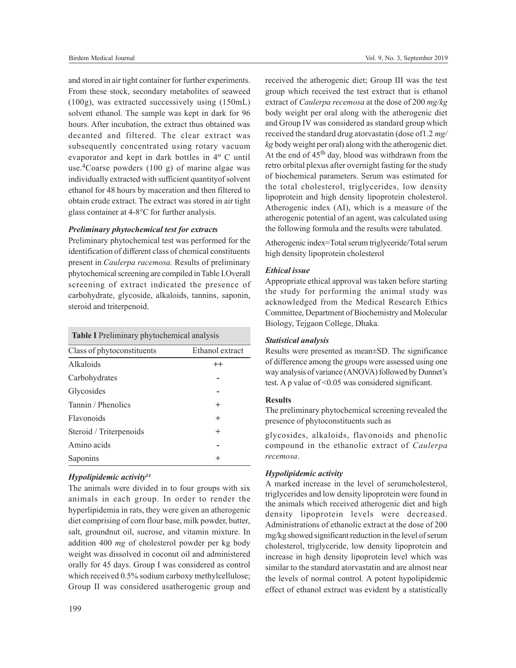and stored in air tight container for further experiments. From these stock, secondary metabolites of seaweed (100g), was extracted successively using (150mL) solvent ethanol. The sample was kept in dark for 96 hours. After incubation, the extract thus obtained was decanted and filtered. The clear extract was subsequently concentrated using rotary vacuum evaporator and kept in dark bottles in 4° C until use.<sup>4</sup>Coarse powders  $(100 \text{ g})$  of marine algae was individually extracted with sufficient quantityof solvent ethanol for 48 hours by maceration and then filtered to obtain crude extract. The extract was stored in air tight glass container at 4-8°C for further analysis.

#### *Preliminary phytochemical test for extracts*

Preliminary phytochemical test was performed for the identification of different class of chemical constituents present in *Caulerpa racemosa.* Results of preliminary phytochemical screening are compiled in Table I.Overall screening of extract indicated the presence of carbohydrate, glycoside, alkaloids, tannins, saponin, steroid and triterpenoid.

 **Table I** Preliminary phytochemical analysis

| Class of phytoconstituents | Ethanol extract |
|----------------------------|-----------------|
| Alkaloids                  | $++$            |
| Carbohydrates              |                 |
| Glycosides                 |                 |
| Tannin / Phenolics         | $\pm$           |
| Flavonoids                 | $^{+}$          |
| Steroid / Triterpenoids    | $^{+}$          |
| Amino acids                |                 |
| Saponins                   | ┿               |

#### *Hypolipidemic activity<sup>14</sup>*

The animals were divided in to four groups with six animals in each group. In order to render the hyperlipidemia in rats, they were given an atherogenic diet comprising of corn flour base, milk powder, butter, salt, groundnut oil, sucrose, and vitamin mixture. In addition 400 *mg* of cholesterol powder per kg body weight was dissolved in coconut oil and administered orally for 45 days. Group I was considered as control which received 0.5% sodium carboxy methylcellulose; Group II was considered asatherogenic group and

received the atherogenic diet; Group III was the test group which received the test extract that is ethanol extract of *Caulerpa recemosa* at the dose of 200 *mg/kg* body weight per oral along with the atherogenic diet and Group IV was considered as standard group which received the standard drug atorvastatin (dose of1.2 *mg/ kg* body weight per oral) along with the atherogenic diet. At the end of  $45<sup>th</sup>$  day, blood was withdrawn from the retro orbital plexus after overnight fasting for the study of biochemical parameters. Serum was estimated for the total cholesterol, triglycerides, low density lipoprotein and high density lipoprotein cholesterol. Atherogenic index (AI), which is a measure of the atherogenic potential of an agent, was calculated using the following formula and the results were tabulated.

Atherogenic index=Total serum triglyceride/Total serum high density lipoprotein cholesterol

#### *Ethical issue*

Appropriate ethical approval was taken before starting the study for performing the animal study was acknowledged from the Medical Research Ethics Committee, Department of Biochemistry and Molecular Biology, Tejgaon College, Dhaka.

#### *Statistical analysis*

Results were presented as mean±SD. The significance of difference among the groups were assessed using one way analysis of variance (ANOVA) followed by Dunnet's test. A p value of <0.05 was considered significant.

#### **Results**

The preliminary phytochemical screening revealed the presence of phytoconstituents such as

glycosides, alkaloids, flavonoids and phenolic compound in the ethanolic extract of *Caulerpa recemosa*.

#### *Hypolipidemic activity*

A marked increase in the level of serumcholesterol, triglycerides and low density lipoprotein were found in the animals which received atherogenic diet and high density lipoprotein levels were decreased. Administrations of ethanolic extract at the dose of 200 mg/kg showed significant reduction in the level of serum cholesterol, triglyceride, low density lipoprotein and increase in high density lipoprotein level which was similar to the standard atorvastatin and are almost near the levels of normal control. A potent hypolipidemic effect of ethanol extract was evident by a statistically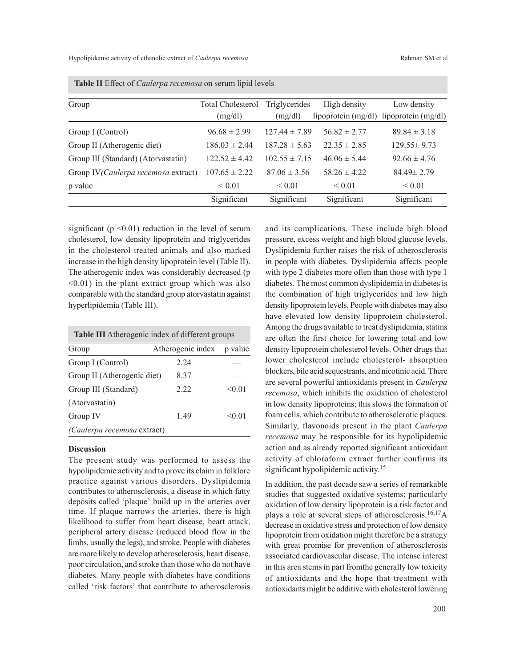| Group                                | Total Cholesterol | Triglycerides     | High density          | Low density         |
|--------------------------------------|-------------------|-------------------|-----------------------|---------------------|
|                                      | (mg/dl)           | (mg/dl)           | lipoprotein $(mg/dl)$ | lipoprotein (mg/dl) |
| Group I (Control)                    | $96.68 \pm 2.99$  | $127.44 \pm 7.89$ | $56.82 \pm 2.77$      | $89.84 \pm 3.18$    |
| Group II (Atherogenic diet)          | $186.03 \pm 2.44$ | $187.28 \pm 5.63$ | $22.35 \pm 2.85$      | $129.55 \pm 9.73$   |
| Group III (Standard) (Atorvastatin)  | $122.52 \pm 4.42$ | $102.55 \pm 7.15$ | $46.06 \pm 5.44$      | $92.66 \pm 4.76$    |
| Group IV (Caulerpa recemosa extract) | $107.65 \pm 2.22$ | $87.06 \pm 3.56$  | $58.26 \pm 4.22$      | $84.49 \pm 2.79$    |
| p value                              | ${}_{0.01}$       | ${}_{0.01}$       | ${}_{0.01}$           | ${}_{0.01}$         |
|                                      | Significant       | Significant       | Significant           | Significant         |

 **Table II** Effect of *Caulerpa recemosa* on serum lipid levels

significant ( $p \le 0.01$ ) reduction in the level of serum cholesterol, low density lipoprotein and triglycerides in the cholesterol treated animals and also marked increase in the high density lipoprotein level (Table II). The atherogenic index was considerably decreased (p <0.01) in the plant extract group which was also comparable with the standard group atorvastatin against hyperlipidemia (Table III).

| Table III Atherogenic index of different groups |                   |         |  |  |  |
|-------------------------------------------------|-------------------|---------|--|--|--|
| Group                                           | Atherogenic index | p value |  |  |  |
| Group I (Control)                               | 2.24              |         |  |  |  |
| Group II (Atherogenic diet)                     | 8.37              |         |  |  |  |
| Group III (Standard)                            | 2.22              | < 0.01  |  |  |  |
| (Atorvastatin)                                  |                   |         |  |  |  |
| Group IV                                        | 1.49              | < 0.01  |  |  |  |
| (Caulerpa recemosa extract)                     |                   |         |  |  |  |

#### **Discussion**

The present study was performed to assess the hypolipidemic activity and to prove its claim in folklore practice against various disorders. Dyslipidemia contributes to atherosclerosis, a disease in which fatty deposits called 'plaque' build up in the arteries over time. If plaque narrows the arteries, there is high likelihood to suffer from heart disease, heart attack, peripheral artery disease (reduced blood flow in the limbs, usually the legs), and stroke. People with diabetes are more likely to develop atherosclerosis, heart disease, poor circulation, and stroke than those who do not have diabetes. Many people with diabetes have conditions called 'risk factors' that contribute to atherosclerosis and its complications. These include high blood pressure, excess weight and high blood glucose levels. Dyslipidemia further raises the risk of atherosclerosis in people with diabetes. Dyslipidemia affects people with type 2 diabetes more often than those with type 1 diabetes. The most common dyslipidemia in diabetes is the combination of high triglycerides and low high density lipoprotein levels. People with diabetes may also have elevated low density lipoprotein cholesterol. Among the drugs available to treat dyslipidemia, statins are often the first choice for lowering total and low density lipoprotein cholesterol levels. Other drugs that lower cholesterol include cholesterol- absorption blockers, bile acid sequestrants, and nicotinic acid. There are several powerful antioxidants present in *Caulerpa recemosa*, which inhibits the oxidation of cholesterol in low density lipoproteins; this slows the formation of foam cells, which contribute to atherosclerotic plaques. Similarly, flavonoids present in the plant *Caulerpa recemosa* may be responsible for its hypolipidemic action and as already reported significant antioxidant activity of chloroform extract further confirms its significant hypolipidemic activity. 15

In addition, the past decade saw a series of remarkable studies that suggested oxidative systems; particularly oxidation of low density lipoprotein is a risk factor and plays a role at several steps of atherosclerosis.16,17A decrease in oxidative stress and protection of low density lipoprotein from oxidation might therefore be a strategy with great promise for prevention of atherosclerosis associated cardiovascular disease. The intense interest in this area stems in part fromthe generally low toxicity of antioxidants and the hope that treatment with antioxidants might be additive with cholesterol lowering